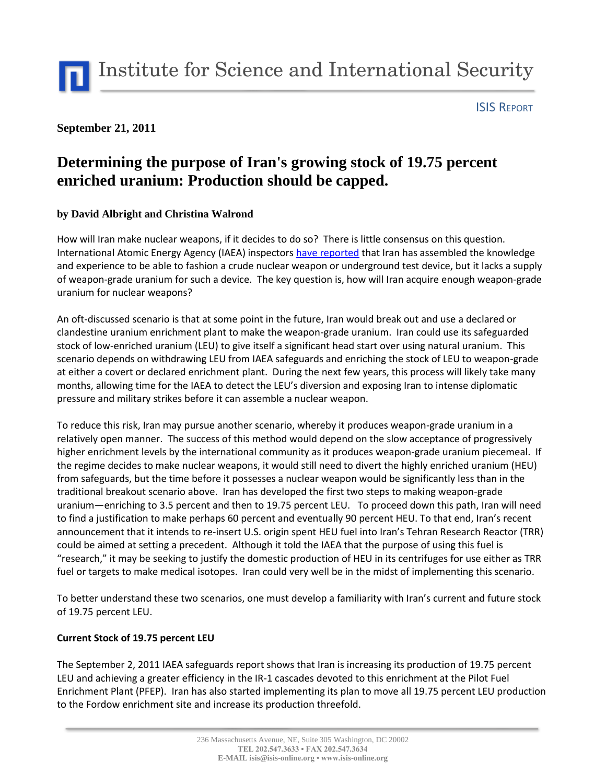Institute for Science and International Security

#### ISIS REPORT

## **September 21, 2011**

# **Determining the purpose of Iran's growing stock of 19.75 percent enriched uranium: Production should be capped.**

### **by David Albright and Christina Walrond**

How will Iran make nuclear weapons, if it decides to do so? There is little consensus on this question. International Atomic Energy Agency (IAEA) inspectors [have reported](http://www.isisnucleariran.org/assets/pdf/IAEA_Iran_2Sept2011.pdf) that Iran has assembled the knowledge and experience to be able to fashion a crude nuclear weapon or underground test device, but it lacks a supply of weapon-grade uranium for such a device. The key question is, how will Iran acquire enough weapon-grade uranium for nuclear weapons?

An oft-discussed scenario is that at some point in the future, Iran would break out and use a declared or clandestine uranium enrichment plant to make the weapon-grade uranium. Iran could use its safeguarded stock of low-enriched uranium (LEU) to give itself a significant head start over using natural uranium. This scenario depends on withdrawing LEU from IAEA safeguards and enriching the stock of LEU to weapon-grade at either a covert or declared enrichment plant. During the next few years, this process will likely take many months, allowing time for the IAEA to detect the LEU's diversion and exposing Iran to intense diplomatic pressure and military strikes before it can assemble a nuclear weapon.

To reduce this risk, Iran may pursue another scenario, whereby it produces weapon-grade uranium in a relatively open manner. The success of this method would depend on the slow acceptance of progressively higher enrichment levels by the international community as it produces weapon-grade uranium piecemeal. If the regime decides to make nuclear weapons, it would still need to divert the highly enriched uranium (HEU) from safeguards, but the time before it possesses a nuclear weapon would be significantly less than in the traditional breakout scenario above. Iran has developed the first two steps to making weapon-grade uranium—enriching to 3.5 percent and then to 19.75 percent LEU. To proceed down this path, Iran will need to find a justification to make perhaps 60 percent and eventually 90 percent HEU. To that end, Iran's recent announcement that it intends to re-insert U.S. origin spent HEU fuel into Iran's Tehran Research Reactor (TRR) could be aimed at setting a precedent. Although it told the IAEA that the purpose of using this fuel is "research," it may be seeking to justify the domestic production of HEU in its centrifuges for use either as TRR fuel or targets to make medical isotopes. Iran could very well be in the midst of implementing this scenario.

To better understand these two scenarios, one must develop a familiarity with Iran's current and future stock of 19.75 percent LEU.

### **Current Stock of 19.75 percent LEU**

The September 2, 2011 IAEA safeguards report shows that Iran is increasing its production of 19.75 percent LEU and achieving a greater efficiency in the IR-1 cascades devoted to this enrichment at the Pilot Fuel Enrichment Plant (PFEP). Iran has also started implementing its plan to move all 19.75 percent LEU production to the Fordow enrichment site and increase its production threefold.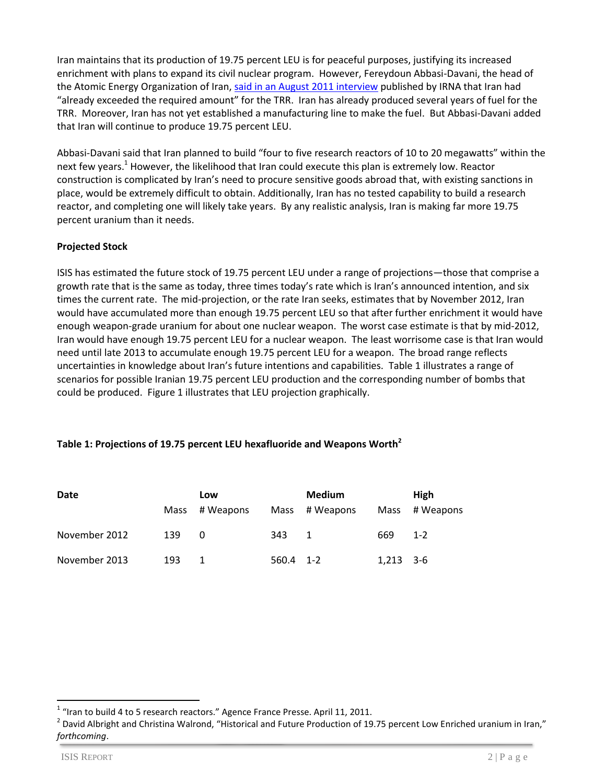Iran maintains that its production of 19.75 percent LEU is for peaceful purposes, justifying its increased enrichment with plans to expand its civil nuclear program. However, Fereydoun Abbasi-Davani, the head of the Atomic Energy Organization of Iran[, said in an August 2011 interview](http://isis-online.org/isis-reports/detail/abbasi-davani-interview-on-irans-20-percent-enrichment/8) published by IRNA that Iran had "already exceeded the required amount" for the TRR. Iran has already produced several years of fuel for the TRR. Moreover, Iran has not yet established a manufacturing line to make the fuel. But Abbasi-Davani added that Iran will continue to produce 19.75 percent LEU.

Abbasi-Davani said that Iran planned to build "four to five research reactors of 10 to 20 megawatts" within the next few years.<sup>1</sup> However, the likelihood that Iran could execute this plan is extremely low. Reactor construction is complicated by Iran's need to procure sensitive goods abroad that, with existing sanctions in place, would be extremely difficult to obtain. Additionally, Iran has no tested capability to build a research reactor, and completing one will likely take years. By any realistic analysis, Iran is making far more 19.75 percent uranium than it needs.

#### **Projected Stock**

ISIS has estimated the future stock of 19.75 percent LEU under a range of projections—those that comprise a growth rate that is the same as today, three times today's rate which is Iran's announced intention, and six times the current rate. The mid-projection, or the rate Iran seeks, estimates that by November 2012, Iran would have accumulated more than enough 19.75 percent LEU so that after further enrichment it would have enough weapon-grade uranium for about one nuclear weapon. The worst case estimate is that by mid-2012, Iran would have enough 19.75 percent LEU for a nuclear weapon. The least worrisome case is that Iran would need until late 2013 to accumulate enough 19.75 percent LEU for a weapon. The broad range reflects uncertainties in knowledge about Iran's future intentions and capabilities. Table 1 illustrates a range of scenarios for possible Iranian 19.75 percent LEU production and the corresponding number of bombs that could be produced. Figure 1 illustrates that LEU projection graphically.

### **Table 1: Projections of 19.75 percent LEU hexafluoride and Weapons Worth<sup>2</sup>**

| Date          |      | Low       |           | <b>Medium</b> |             | <b>High</b>   |
|---------------|------|-----------|-----------|---------------|-------------|---------------|
|               | Mass | # Weapons | Mass      | # Weapons     |             | Mass #Weapons |
| November 2012 | 139  | 0         | 343       | 1             | 669         | $1 - 2$       |
| November 2013 | 193  | 1         | 560.4 1-2 |               | $1,213$ 3-6 |               |

 $\overline{a}$ 

 $1$  "Iran to build 4 to 5 research reactors." Agence France Presse. April 11, 2011.

 $^2$  David Albright and Christina Walrond, "Historical and Future Production of 19.75 percent Low Enriched uranium in Iran," *forthcoming*.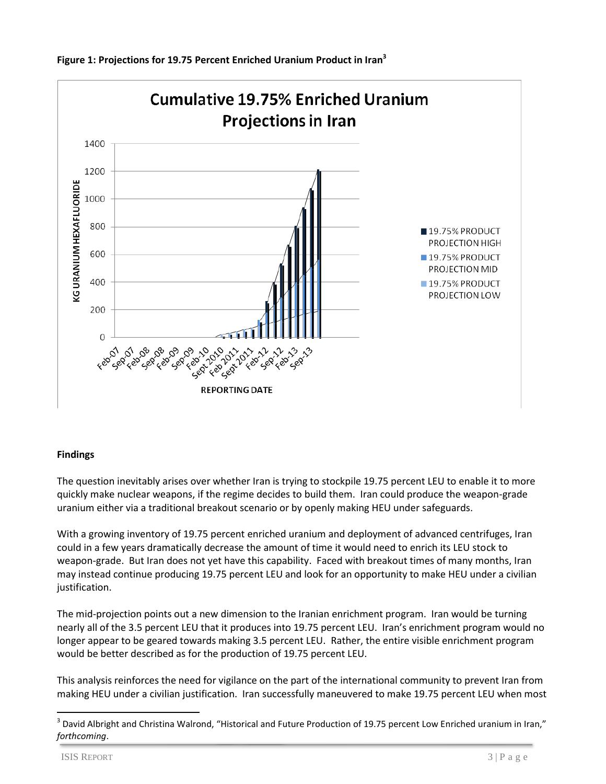

### **Findings**

The question inevitably arises over whether Iran is trying to stockpile 19.75 percent LEU to enable it to more quickly make nuclear weapons, if the regime decides to build them. Iran could produce the weapon-grade uranium either via a traditional breakout scenario or by openly making HEU under safeguards.

With a growing inventory of 19.75 percent enriched uranium and deployment of advanced centrifuges, Iran could in a few years dramatically decrease the amount of time it would need to enrich its LEU stock to weapon-grade. But Iran does not yet have this capability. Faced with breakout times of many months, Iran may instead continue producing 19.75 percent LEU and look for an opportunity to make HEU under a civilian justification.

The mid-projection points out a new dimension to the Iranian enrichment program. Iran would be turning nearly all of the 3.5 percent LEU that it produces into 19.75 percent LEU. Iran's enrichment program would no longer appear to be geared towards making 3.5 percent LEU. Rather, the entire visible enrichment program would be better described as for the production of 19.75 percent LEU.

This analysis reinforces the need for vigilance on the part of the international community to prevent Iran from making HEU under a civilian justification. Iran successfully maneuvered to make 19.75 percent LEU when most

 $\ddot{\phantom{a}}$ 

 $^3$  David Albright and Christina Walrond, "Historical and Future Production of 19.75 percent Low Enriched uranium in Iran," *forthcoming*.